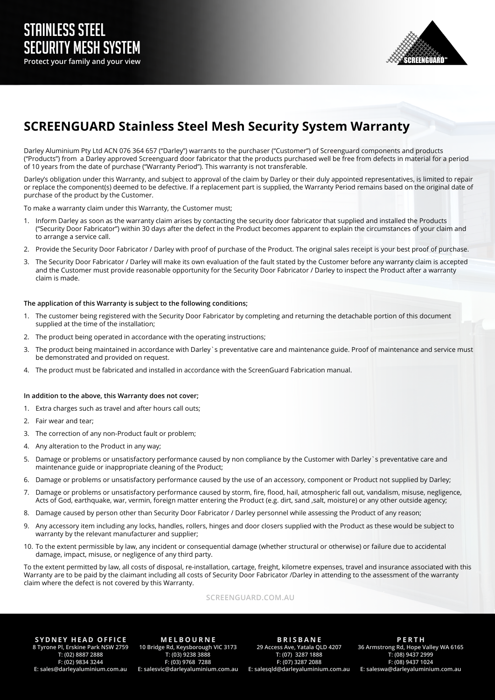

# **SCREENGUARD Stainless Steel Mesh Security System Warranty**

Darley Aluminium Pty Ltd ACN 076 364 657 ("Darley") warrants to the purchaser ("Customer") of Screenguard components and products ("Products") from a Darley approved Screenguard door fabricator that the products purchased well be free from defects in material for a period of 10 years from the date of purchase ("Warranty Period"). This warranty is not transferable.

Darley's obligation under this Warranty, and subject to approval of the claim by Darley or their duly appointed representatives, is limited to repair or replace the component(s) deemed to be defective. If a replacement part is supplied, the Warranty Period remains based on the original date of purchase of the product by the Customer.

To make a warranty claim under this Warranty, the Customer must;

- 1. Inform Darley as soon as the warranty claim arises by contacting the security door fabricator that supplied and installed the Products ("Security Door Fabricator") within 30 days after the defect in the Product becomes apparent to explain the circumstances of your claim and to arrange a service call.
- 2. Provide the Security Door Fabricator / Darley with proof of purchase of the Product. The original sales receipt is your best proof of purchase.
- 3. The Security Door Fabricator / Darley will make its own evaluation of the fault stated by the Customer before any warranty claim is accepted and the Customer must provide reasonable opportunity for the Security Door Fabricator / Darley to inspect the Product after a warranty claim is made.

## **The application of this Warranty is subject to the following conditions;**

- 1. The customer being registered with the Security Door Fabricator by completing and returning the detachable portion of this document supplied at the time of the installation;
- 2. The product being operated in accordance with the operating instructions;
- The product being maintained in accordance with Darley`s preventative care and maintenance guide. Proof of maintenance and service must be demonstrated and provided on request.
- 4. The product must be fabricated and installed in accordance with the ScreenGuard Fabrication manual.

#### **In addition to the above, this Warranty does not cover;**

- 1. Extra charges such as travel and after hours call outs;
- 2. Fair wear and tear;
- 3. The correction of any non-Product fault or problem;
- 4. Any alteration to the Product in any way;
- 5. Damage or problems or unsatisfactory performance caused by non compliance by the Customer with Darley`s preventative care and maintenance guide or inappropriate cleaning of the Product;
- 6. Damage or problems or unsatisfactory performance caused by the use of an accessory, component or Product not supplied by Darley;
- 7. Damage or problems or unsatisfactory performance caused by storm, fire, flood, hail, atmospheric fall out, vandalism, misuse, negligence, Acts of God, earthquake, war, vermin, foreign matter entering the Product (e.g. dirt, sand ,salt, moisture) or any other outside agency;
- 8. Damage caused by person other than Security Door Fabricator / Darley personnel while assessing the Product of any reason;
- 9. Any accessory item including any locks, handles, rollers, hinges and door closers supplied with the Product as these would be subject to warranty by the relevant manufacturer and supplier;
- 10. To the extent permissible by law, any incident or consequential damage (whether structural or otherwise) or failure due to accidental damage, impact, misuse, or negligence of any third party.

To the extent permitted by law, all costs of disposal, re-installation, cartage, freight, kilometre expenses, travel and insurance associated with this Warranty are to be paid by the claimant including all costs of Security Door Fabricator /Darley in attending to the assessment of the warranty claim where the defect is not covered by this Warranty.

#### **SCREENGUARD.COM.AU**

**SYDNEY HEAD OFFICE 8 Tyrone Pl, Erskine Park NSW 2759 T: (02) 8887 2888 F: (02) 9834 3244 E: sales@darleyaluminium.com.au**

**M E L B O U R N E 10 Bridge Rd, Keysborough VIC 3173 T: (03) 9238 3888 F: (03) 9768 7288 E: salesvic@darleyaluminium.com.au**

**B R I S B A N E 29 Access Ave, Yatala QLD 4207 T: (07) 3287 1888 F: (07) 3287 2088 E: salesqld@darleyaluminium.com.au**

**PERTH 36 Armstrong Rd, Hope Valley WA 6165 T: (08) 9437 2999 F: (08) 9437 1024 E: saleswa@darleyaluminium.com.au**